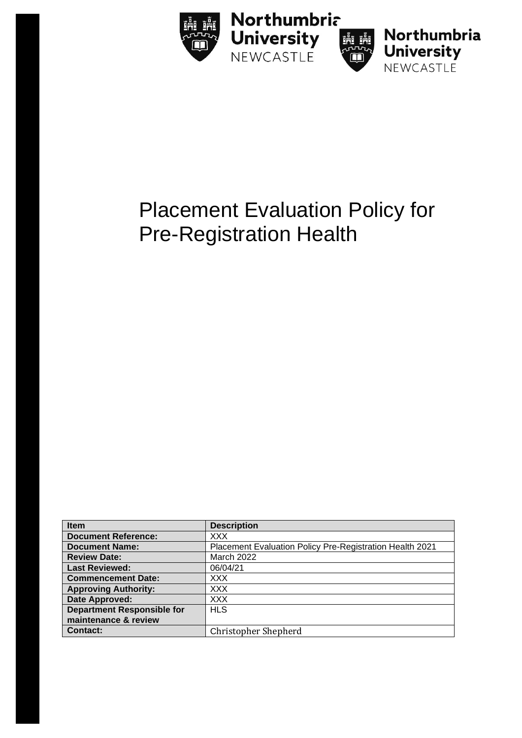

## Placement Evaluation Policy for Pre-Registration Health

| <b>Item</b>                       | <b>Description</b>                                       |
|-----------------------------------|----------------------------------------------------------|
| <b>Document Reference:</b>        | XXX                                                      |
| <b>Document Name:</b>             | Placement Evaluation Policy Pre-Registration Health 2021 |
| <b>Review Date:</b>               | <b>March 2022</b>                                        |
| <b>Last Reviewed:</b>             | 06/04/21                                                 |
| <b>Commencement Date:</b>         | XXX                                                      |
| <b>Approving Authority:</b>       | XXX                                                      |
| Date Approved:                    | <b>XXX</b>                                               |
| <b>Department Responsible for</b> | <b>HLS</b>                                               |
| maintenance & review              |                                                          |
| Contact:                          | <b>Christopher Shepherd</b>                              |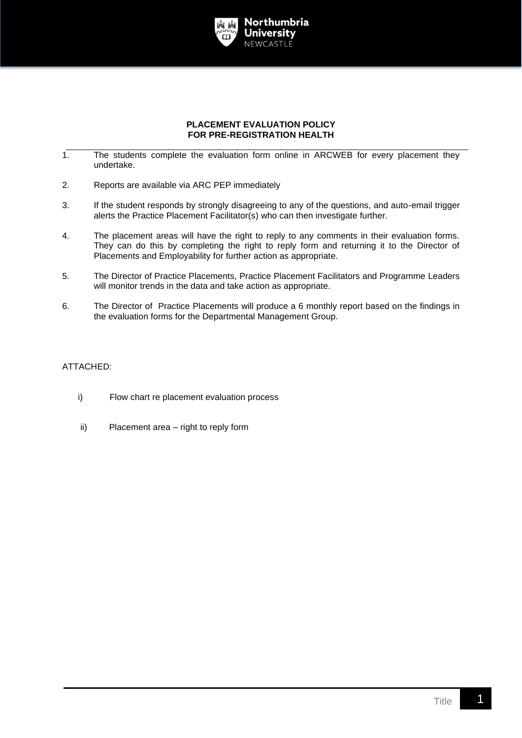

## **PLACEMENT EVALUATION POLICY FOR PRE-REGISTRATION HEALTH**

- 1. The students complete the evaluation form online in ARCWEB for every placement they undertake.
- 2. Reports are available via ARC PEP immediately
- 3. If the student responds by strongly disagreeing to any of the questions, and auto-email trigger alerts the Practice Placement Facilitator(s) who can then investigate further.
- 4. The placement areas will have the right to reply to any comments in their evaluation forms. They can do this by completing the right to reply form and returning it to the Director of Placements and Employability for further action as appropriate.
- 5. The Director of Practice Placements, Practice Placement Facilitators and Programme Leaders will monitor trends in the data and take action as appropriate.
- 6. The Director of Practice Placements will produce a 6 monthly report based on the findings in the evaluation forms for the Departmental Management Group.

## ATTACHED:

- i) Flow chart re placement evaluation process
- ii) Placement area right to reply form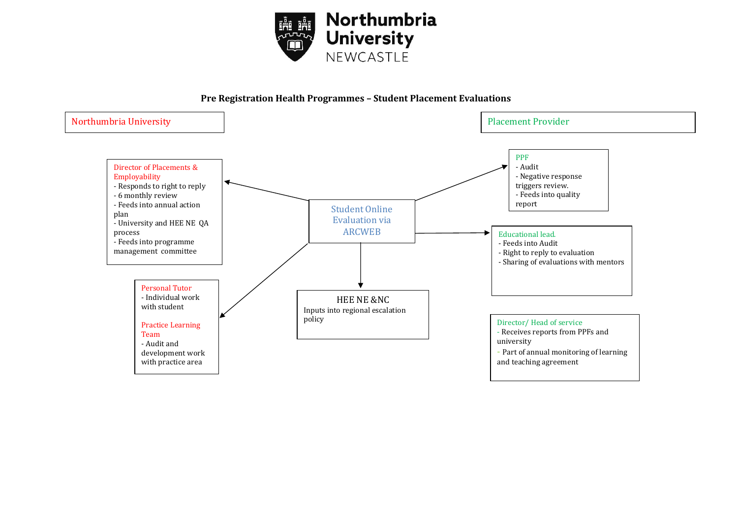

**Pre Registration Health Programmes – Student Placement Evaluations**

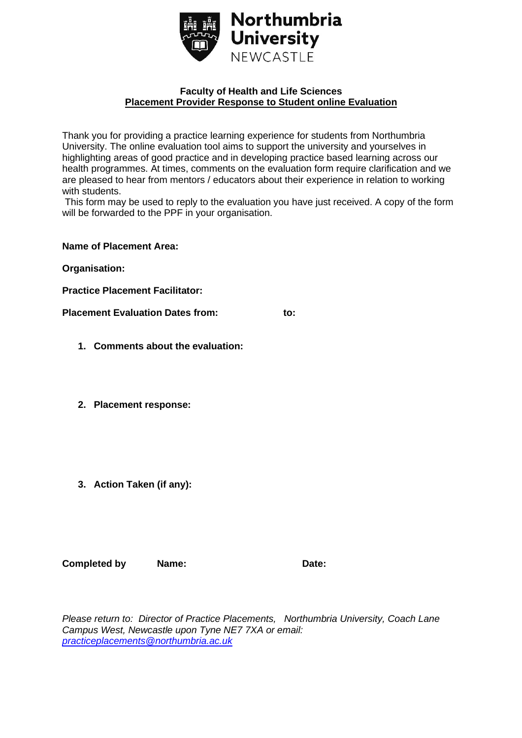

## **Faculty of Health and Life Sciences Placement Provider Response to Student online Evaluation**

Thank you for providing a practice learning experience for students from Northumbria University. The online evaluation tool aims to support the university and yourselves in highlighting areas of good practice and in developing practice based learning across our health programmes. At times, comments on the evaluation form require clarification and we are pleased to hear from mentors / educators about their experience in relation to working with students.

This form may be used to reply to the evaluation you have just received. A copy of the form will be forwarded to the PPF in your organisation.

|  |  | <b>Name of Placement Area:</b> |
|--|--|--------------------------------|
|--|--|--------------------------------|

**Organisation:** 

**Practice Placement Facilitator:** 

**Placement Evaluation Dates from: to:** 

- **1. Comments about the evaluation:**
- **2. Placement response:**
- **3. Action Taken (if any):**

**Completed by Name:** Date:

*Please return to: Director of Practice Placements, Northumbria University, Coach Lane Campus West, Newcastle upon Tyne NE7 7XA or email: [practiceplacements@northumbria.ac.uk](mailto:practiceplacements@northumbria.ac.uk)*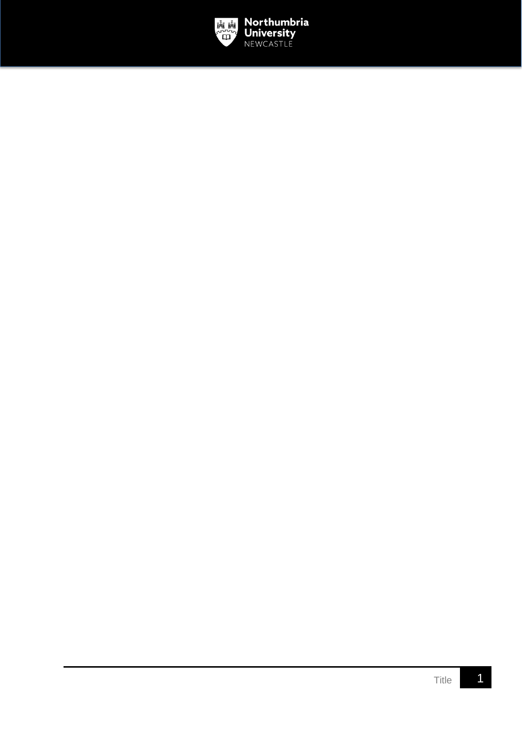